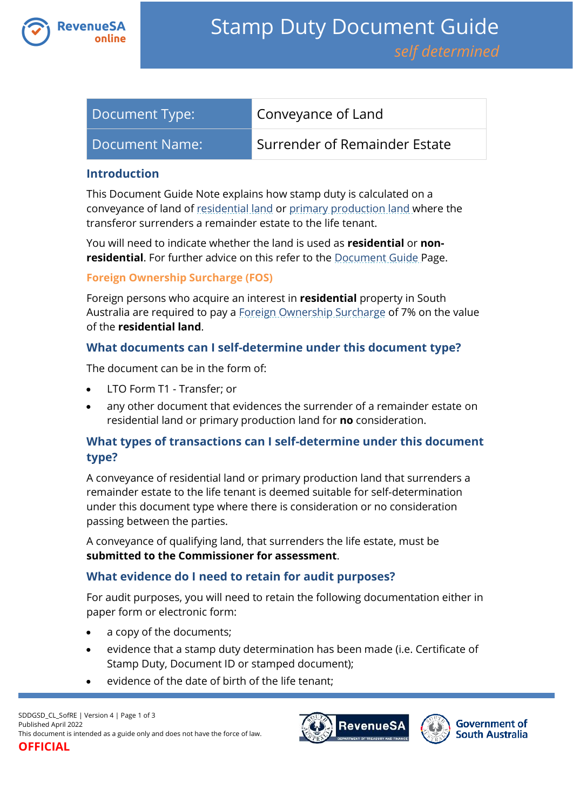

| Document Type: | Conveyance of Land            |
|----------------|-------------------------------|
| Document Name: | Surrender of Remainder Estate |

#### **Introduction**

This Document Guide Note explains how stamp duty is calculated on a conveyance of land of [residential land](https://www.revenuesa.sa.gov.au/stampduty/stamp-duty-document-guide#RR&PP) or [primary production land](https://www.revenuesa.sa.gov.au/stampduty/stamp-duty-document-guide#RR&PP) where the transferor surrenders a remainder estate to the life tenant.

You will need to indicate whether the land is used as **residential** or **nonresidential**. For further advice on this refer to the [Document Guide](https://www.revenuesa.sa.gov.au/stampduty/stamp-duty-document-guide#Glossary) Page.

#### **Foreign Ownership Surcharge (FOS)**

Foreign persons who acquire an interest in **residential** property in South Australia are required to pay a [Foreign Ownership Surcharge](https://www.revenuesa.sa.gov.au/stampduty/stamp-duty-document-guide#FOS) of 7% on the value of the **residential land**.

### **What documents can I self-determine under this document type?**

The document can be in the form of:

- LTO Form T1 Transfer; or
- any other document that evidences the surrender of a remainder estate on residential land or primary production land for **no** consideration.

## **What types of transactions can I self-determine under this document type?**

A conveyance of residential land or primary production land that surrenders a remainder estate to the life tenant is deemed suitable for self-determination under this document type where there is consideration or no consideration passing between the parties.

A conveyance of qualifying land, that surrenders the life estate, must be **submitted to the Commissioner for assessment**.

#### **What evidence do I need to retain for audit purposes?**

For audit purposes, you will need to retain the following documentation either in paper form or electronic form:

- a copy of the documents;
- evidence that a stamp duty determination has been made (i.e. Certificate of Stamp Duty, Document ID or stamped document);
- evidence of the date of birth of the life tenant;



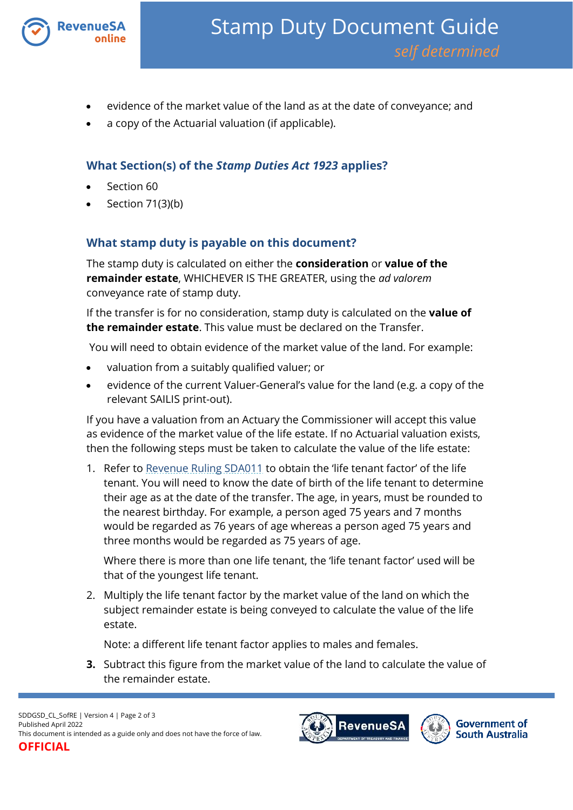

- evidence of the market value of the land as at the date of conveyance; and
- a copy of the Actuarial valuation (if applicable).

# **What Section(s) of the** *Stamp Duties Act 1923* **applies?**

- Section 60
- Section 71(3)(b)

# **What stamp duty is payable on this document?**

The stamp duty is calculated on either the **consideration** or **value of the remainder estate**, WHICHEVER IS THE GREATER, using the *ad valorem*  conveyance rate of stamp duty.

If the transfer is for no consideration, stamp duty is calculated on the **value of the remainder estate**. This value must be declared on the Transfer.

You will need to obtain evidence of the market value of the land. For example:

- valuation from a suitably qualified valuer; or
- evidence of the current Valuer-General's value for the land (e.g. a copy of the relevant SAILIS print-out).

If you have a valuation from an Actuary the Commissioner will accept this value as evidence of the market value of the life estate. If no Actuarial valuation exists, then the following steps must be taken to calculate the value of the life estate:

1. Refer to [Revenue Ruling SDA011](http://www.revenuesa.sa.gov.au/rulings/SDA011.pdf) to obtain the 'life tenant factor' of the life tenant. You will need to know the date of birth of the life tenant to determine their age as at the date of the transfer. The age, in years, must be rounded to the nearest birthday. For example, a person aged 75 years and 7 months would be regarded as 76 years of age whereas a person aged 75 years and three months would be regarded as 75 years of age.

Where there is more than one life tenant, the 'life tenant factor' used will be that of the youngest life tenant.

2. Multiply the life tenant factor by the market value of the land on which the subject remainder estate is being conveyed to calculate the value of the life estate.

Note: a different life tenant factor applies to males and females.

**3.** Subtract this figure from the market value of the land to calculate the value of the remainder estate.